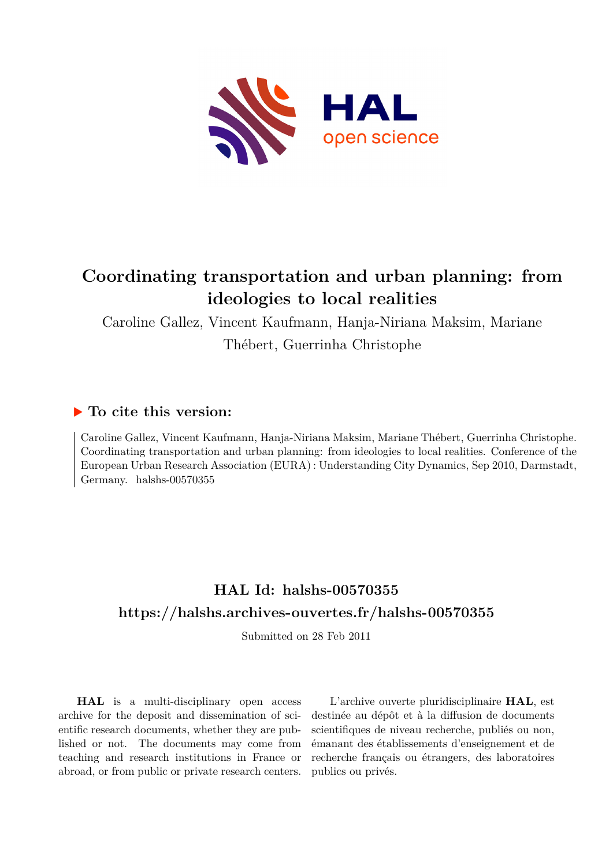

# **Coordinating transportation and urban planning: from ideologies to local realities**

Caroline Gallez, Vincent Kaufmann, Hanja-Niriana Maksim, Mariane Thébert, Guerrinha Christophe

## **To cite this version:**

Caroline Gallez, Vincent Kaufmann, Hanja-Niriana Maksim, Mariane Thébert, Guerrinha Christophe. Coordinating transportation and urban planning: from ideologies to local realities. Conference of the European Urban Research Association (EURA) : Understanding City Dynamics, Sep 2010, Darmstadt, Germany. halshs-00570355

# **HAL Id: halshs-00570355 <https://halshs.archives-ouvertes.fr/halshs-00570355>**

Submitted on 28 Feb 2011

**HAL** is a multi-disciplinary open access archive for the deposit and dissemination of scientific research documents, whether they are published or not. The documents may come from teaching and research institutions in France or abroad, or from public or private research centers.

L'archive ouverte pluridisciplinaire **HAL**, est destinée au dépôt et à la diffusion de documents scientifiques de niveau recherche, publiés ou non, émanant des établissements d'enseignement et de recherche français ou étrangers, des laboratoires publics ou privés.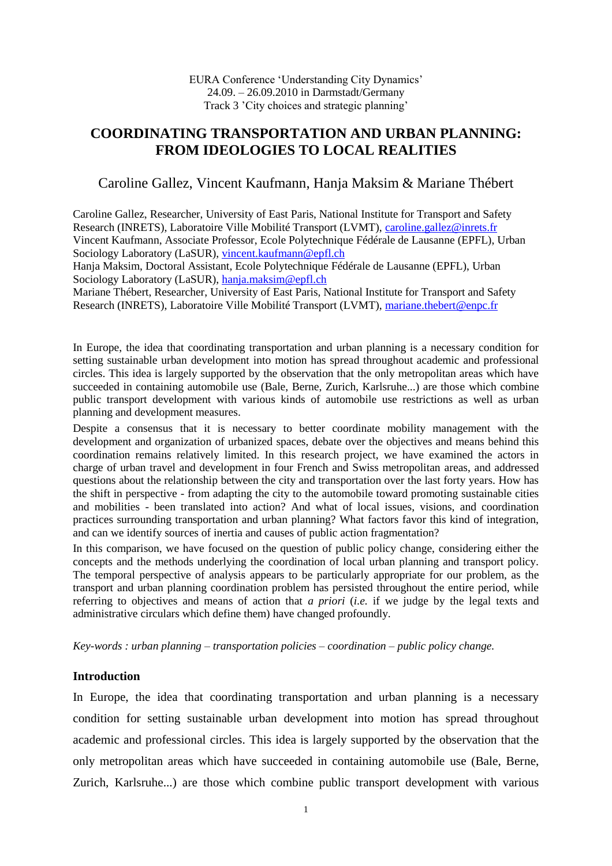### **COORDINATING TRANSPORTATION AND URBAN PLANNING: FROM IDEOLOGIES TO LOCAL REALITIES**

### Caroline Gallez, Vincent Kaufmann, Hanja Maksim & Mariane Thébert

Caroline Gallez, Researcher, University of East Paris, National Institute for Transport and Safety Research (INRETS), Laboratoire Ville Mobilité Transport (LVMT), [caroline.gallez@inrets.fr](mailto:caroline.gallez@inrets.fr) Vincent Kaufmann, Associate Professor, Ecole Polytechnique Fédérale de Lausanne (EPFL), Urban Sociology Laboratory (LaSUR), [vincent.kaufmann@epfl.ch](mailto:vincent.kaufmann@epfl.ch)

Hanja Maksim, Doctoral Assistant, Ecole Polytechnique Fédérale de Lausanne (EPFL), Urban Sociology Laboratory (LaSUR), [hanja.maksim@epfl.ch](mailto:hanja.maksim@epfl.ch)

Mariane Thébert, Researcher, University of East Paris, National Institute for Transport and Safety Research (INRETS), Laboratoire Ville Mobilité Transport (LVMT), [mariane.thebert@enpc.fr](mailto:mariane.thebert@enpc.fr)

In Europe, the idea that coordinating transportation and urban planning is a necessary condition for setting sustainable urban development into motion has spread throughout academic and professional circles. This idea is largely supported by the observation that the only metropolitan areas which have succeeded in containing automobile use (Bale, Berne, Zurich, Karlsruhe...) are those which combine public transport development with various kinds of automobile use restrictions as well as urban planning and development measures.

Despite a consensus that it is necessary to better coordinate mobility management with the development and organization of urbanized spaces, debate over the objectives and means behind this coordination remains relatively limited. In this research project, we have examined the actors in charge of urban travel and development in four French and Swiss metropolitan areas, and addressed questions about the relationship between the city and transportation over the last forty years. How has the shift in perspective - from adapting the city to the automobile toward promoting sustainable cities and mobilities - been translated into action? And what of local issues, visions, and coordination practices surrounding transportation and urban planning? What factors favor this kind of integration, and can we identify sources of inertia and causes of public action fragmentation?

In this comparison, we have focused on the question of public policy change, considering either the concepts and the methods underlying the coordination of local urban planning and transport policy. The temporal perspective of analysis appears to be particularly appropriate for our problem, as the transport and urban planning coordination problem has persisted throughout the entire period, while referring to objectives and means of action that *a priori* (*i.e.* if we judge by the legal texts and administrative circulars which define them) have changed profoundly.

*Key-words : urban planning – transportation policies – coordination – public policy change.*

#### **Introduction**

In Europe, the idea that coordinating transportation and urban planning is a necessary condition for setting sustainable urban development into motion has spread throughout academic and professional circles. This idea is largely supported by the observation that the only metropolitan areas which have succeeded in containing automobile use (Bale, Berne, Zurich, Karlsruhe...) are those which combine public transport development with various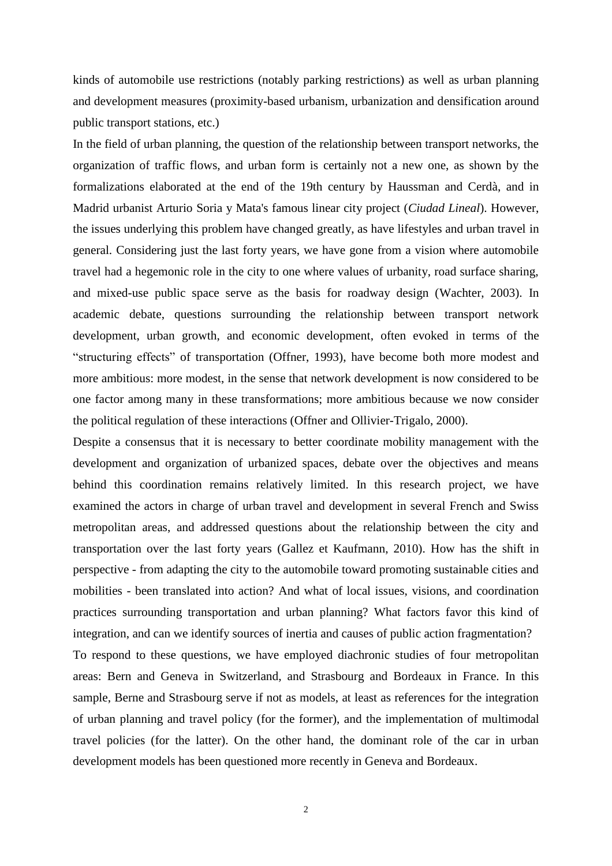kinds of automobile use restrictions (notably parking restrictions) as well as urban planning and development measures (proximity-based urbanism, urbanization and densification around public transport stations, etc.)

In the field of urban planning, the question of the relationship between transport networks, the organization of traffic flows, and urban form is certainly not a new one, as shown by the formalizations elaborated at the end of the 19th century by Haussman and Cerdà, and in Madrid urbanist Arturio Soria y Mata's famous linear city project (*Ciudad Lineal*). However, the issues underlying this problem have changed greatly, as have lifestyles and urban travel in general. Considering just the last forty years, we have gone from a vision where automobile travel had a hegemonic role in the city to one where values of urbanity, road surface sharing, and mixed-use public space serve as the basis for roadway design (Wachter, 2003). In academic debate, questions surrounding the relationship between transport network development, urban growth, and economic development, often evoked in terms of the "structuring effects" of transportation (Offner, 1993), have become both more modest and more ambitious: more modest, in the sense that network development is now considered to be one factor among many in these transformations; more ambitious because we now consider the political regulation of these interactions (Offner and Ollivier-Trigalo, 2000).

Despite a consensus that it is necessary to better coordinate mobility management with the development and organization of urbanized spaces, debate over the objectives and means behind this coordination remains relatively limited. In this research project, we have examined the actors in charge of urban travel and development in several French and Swiss metropolitan areas, and addressed questions about the relationship between the city and transportation over the last forty years (Gallez et Kaufmann, 2010). How has the shift in perspective - from adapting the city to the automobile toward promoting sustainable cities and mobilities - been translated into action? And what of local issues, visions, and coordination practices surrounding transportation and urban planning? What factors favor this kind of integration, and can we identify sources of inertia and causes of public action fragmentation?

To respond to these questions, we have employed diachronic studies of four metropolitan areas: Bern and Geneva in Switzerland, and Strasbourg and Bordeaux in France. In this sample, Berne and Strasbourg serve if not as models, at least as references for the integration of urban planning and travel policy (for the former), and the implementation of multimodal travel policies (for the latter). On the other hand, the dominant role of the car in urban development models has been questioned more recently in Geneva and Bordeaux.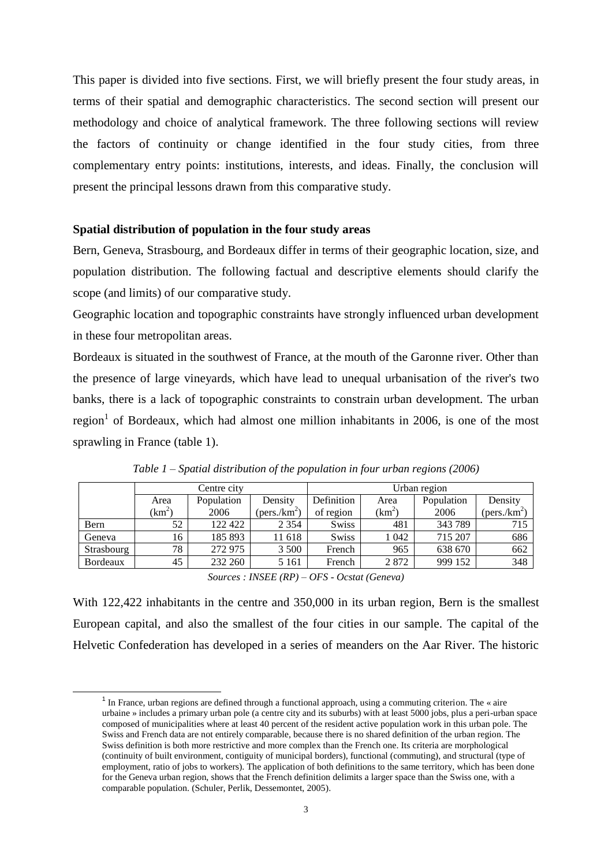This paper is divided into five sections. First, we will briefly present the four study areas, in terms of their spatial and demographic characteristics. The second section will present our methodology and choice of analytical framework. The three following sections will review the factors of continuity or change identified in the four study cities, from three complementary entry points: institutions, interests, and ideas. Finally, the conclusion will present the principal lessons drawn from this comparative study.

#### **Spatial distribution of population in the four study areas**

 $\overline{a}$ 

Bern, Geneva, Strasbourg, and Bordeaux differ in terms of their geographic location, size, and population distribution. The following factual and descriptive elements should clarify the scope (and limits) of our comparative study.

Geographic location and topographic constraints have strongly influenced urban development in these four metropolitan areas.

Bordeaux is situated in the southwest of France, at the mouth of the Garonne river. Other than the presence of large vineyards, which have lead to unequal urbanisation of the river's two banks, there is a lack of topographic constraints to constrain urban development. The urban region<sup>1</sup> of Bordeaux, which had almost one million inhabitants in 2006, is one of the most sprawling in France (table 1).

|            | Centre city |            |                  | Urban region |          |            |                  |
|------------|-------------|------------|------------------|--------------|----------|------------|------------------|
|            | Area        | Population | Density          | Definition   | Area     | Population | Density          |
|            | $(km^2)$    | 2006       | (pers./ $km^2$ ) | of region    | $(km^2)$ | 2006       | (pers./ $km^2$ ) |
| Bern       | 52          | 122 422    | 2 3 5 4          | <b>Swiss</b> | 481      | 343 789    | 715              |
| Geneva     | 16          | 185 893    | 11 618           | <b>Swiss</b> | 1 0 4 2  | 715 207    | 686              |
| Strasbourg | 78          | 272 975    | 3 500            | French       | 965      | 638 670    | 662              |
| Bordeaux   | 45          | 232 260    | 5 1 6 1          | French       | 2 8 7 2  | 999 152    | 348              |

*Table 1 – Spatial distribution of the population in four urban regions (2006)*

*Sources : INSEE (RP) – OFS - Ocstat (Geneva)*

With 122,422 inhabitants in the centre and 350,000 in its urban region, Bern is the smallest European capital, and also the smallest of the four cities in our sample. The capital of the Helvetic Confederation has developed in a series of meanders on the Aar River. The historic

<sup>&</sup>lt;sup>1</sup> In France, urban regions are defined through a functional approach, using a commuting criterion. The « aire urbaine » includes a primary urban pole (a centre city and its suburbs) with at least 5000 jobs, plus a peri-urban space composed of municipalities where at least 40 percent of the resident active population work in this urban pole. The Swiss and French data are not entirely comparable, because there is no shared definition of the urban region. The Swiss definition is both more restrictive and more complex than the French one. Its criteria are morphological (continuity of built environment, contiguity of municipal borders), functional (commuting), and structural (type of employment, ratio of jobs to workers). The application of both definitions to the same territory, which has been done for the Geneva urban region, shows that the French definition delimits a larger space than the Swiss one, with a comparable population. (Schuler, Perlik, Dessemontet, 2005).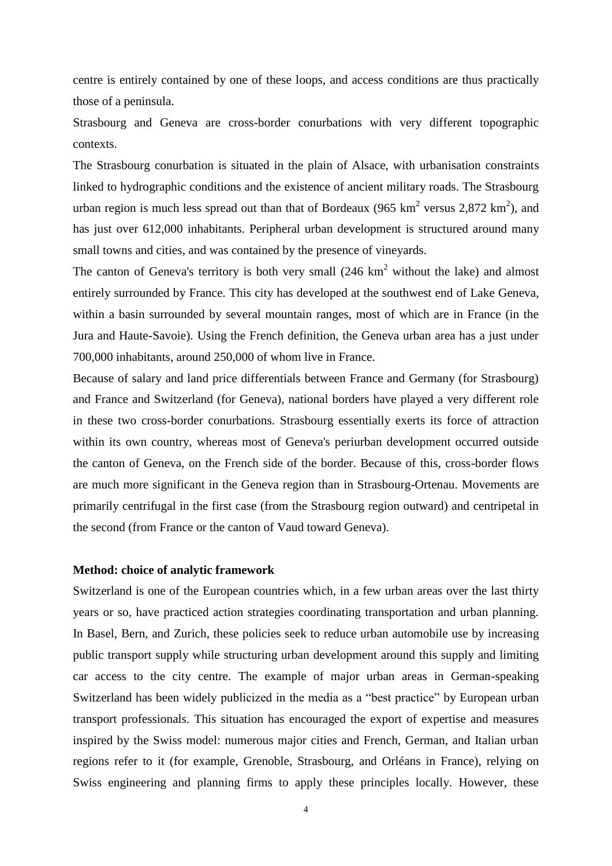centre is entirely contained by one of these loops, and access conditions are thus practically those of a peninsula.

Strasbourg and Geneva are cross-border conurbations with very different topographic contexts.

The Strasbourg conurbation is situated in the plain of Alsace, with urbanisation constraints linked to hydrographic conditions and the existence of ancient military roads. The Strasbourg urban region is much less spread out than that of Bordeaux (965  $km^2$  versus 2,872  $km^2$ ), and has just over 612,000 inhabitants. Peripheral urban development is structured around many small towns and cities, and was contained by the presence of vineyards.

The canton of Geneva's territory is both very small  $(246 \text{ km}^2 \text{ without the lake})$  and almost entirely surrounded by France. This city has developed at the southwest end of Lake Geneva, within a basin surrounded by several mountain ranges, most of which are in France (in the Jura and Haute-Savoie). Using the French definition, the Geneva urban area has a just under 700,000 inhabitants, around 250,000 of whom live in France.

Because of salary and land price differentials between France and Germany (for Strasbourg) and France and Switzerland (for Geneva), national borders have played a very different role in these two cross-border conurbations. Strasbourg essentially exerts its force of attraction within its own country, whereas most of Geneva's periurban development occurred outside the canton of Geneva, on the French side of the border. Because of this, cross-border flows are much more significant in the Geneva region than in Strasbourg-Ortenau. Movements are primarily centrifugal in the first case (from the Strasbourg region outward) and centripetal in the second (from France or the canton of Vaud toward Geneva).

#### **Method: choice of analytic framework**

Switzerland is one of the European countries which, in a few urban areas over the last thirty years or so, have practiced action strategies coordinating transportation and urban planning. In Basel, Bern, and Zurich, these policies seek to reduce urban automobile use by increasing public transport supply while structuring urban development around this supply and limiting car access to the city centre. The example of major urban areas in German-speaking Switzerland has been widely publicized in the media as a "best practice" by European urban transport professionals. This situation has encouraged the export of expertise and measures inspired by the Swiss model: numerous major cities and French, German, and Italian urban regions refer to it (for example, Grenoble, Strasbourg, and Orléans in France), relying on Swiss engineering and planning firms to apply these principles locally. However, these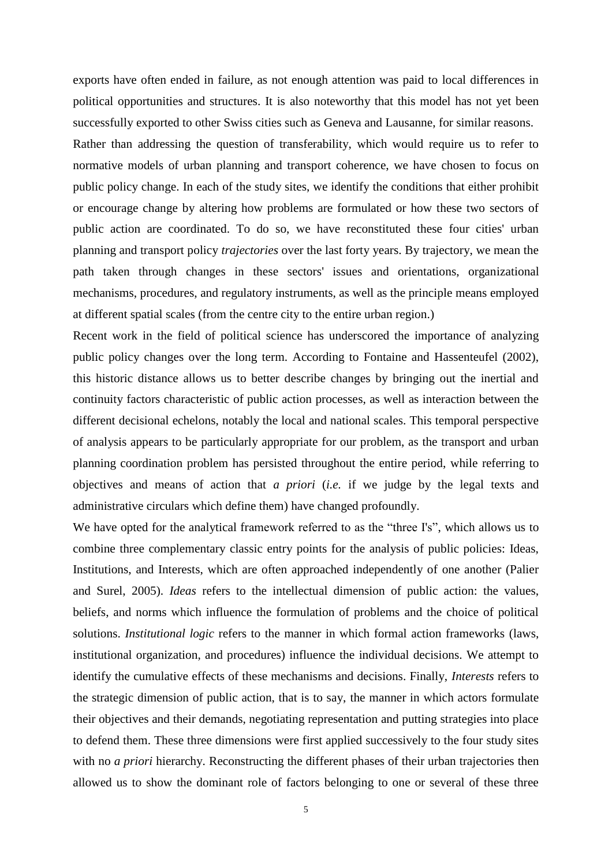exports have often ended in failure, as not enough attention was paid to local differences in political opportunities and structures. It is also noteworthy that this model has not yet been successfully exported to other Swiss cities such as Geneva and Lausanne, for similar reasons. Rather than addressing the question of transferability, which would require us to refer to normative models of urban planning and transport coherence, we have chosen to focus on public policy change. In each of the study sites, we identify the conditions that either prohibit or encourage change by altering how problems are formulated or how these two sectors of public action are coordinated. To do so, we have reconstituted these four cities' urban planning and transport policy *trajectories* over the last forty years. By trajectory, we mean the path taken through changes in these sectors' issues and orientations, organizational mechanisms, procedures, and regulatory instruments, as well as the principle means employed at different spatial scales (from the centre city to the entire urban region.)

Recent work in the field of political science has underscored the importance of analyzing public policy changes over the long term. According to Fontaine and Hassenteufel (2002), this historic distance allows us to better describe changes by bringing out the inertial and continuity factors characteristic of public action processes, as well as interaction between the different decisional echelons, notably the local and national scales. This temporal perspective of analysis appears to be particularly appropriate for our problem, as the transport and urban planning coordination problem has persisted throughout the entire period, while referring to objectives and means of action that *a priori* (*i.e.* if we judge by the legal texts and administrative circulars which define them) have changed profoundly.

We have opted for the analytical framework referred to as the "three I's", which allows us to combine three complementary classic entry points for the analysis of public policies: Ideas, Institutions, and Interests, which are often approached independently of one another (Palier and Surel, 2005). *Ideas* refers to the intellectual dimension of public action: the values, beliefs, and norms which influence the formulation of problems and the choice of political solutions. *Institutional logic* refers to the manner in which formal action frameworks (laws, institutional organization, and procedures) influence the individual decisions. We attempt to identify the cumulative effects of these mechanisms and decisions. Finally, *Interests* refers to the strategic dimension of public action, that is to say, the manner in which actors formulate their objectives and their demands, negotiating representation and putting strategies into place to defend them. These three dimensions were first applied successively to the four study sites with no *a priori* hierarchy. Reconstructing the different phases of their urban trajectories then allowed us to show the dominant role of factors belonging to one or several of these three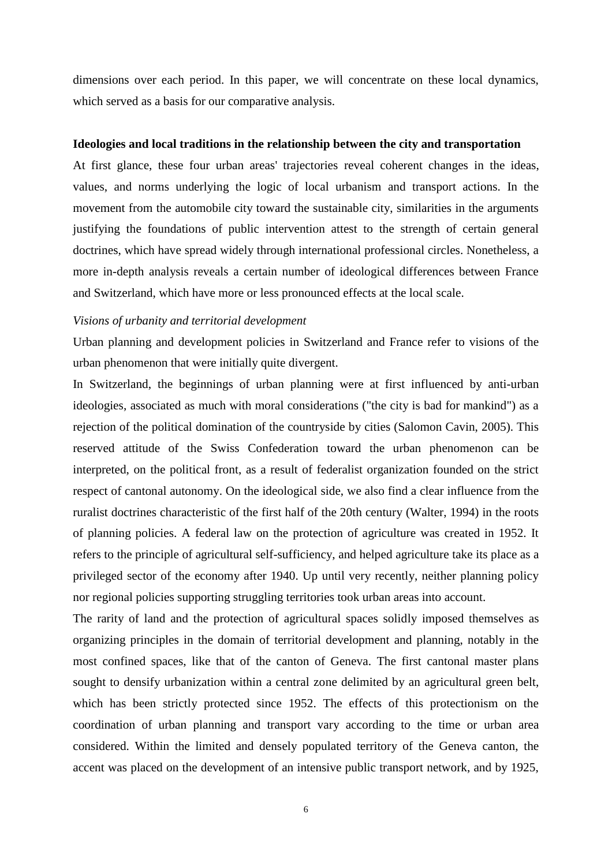dimensions over each period. In this paper, we will concentrate on these local dynamics, which served as a basis for our comparative analysis.

#### **Ideologies and local traditions in the relationship between the city and transportation**

At first glance, these four urban areas' trajectories reveal coherent changes in the ideas, values, and norms underlying the logic of local urbanism and transport actions. In the movement from the automobile city toward the sustainable city, similarities in the arguments justifying the foundations of public intervention attest to the strength of certain general doctrines, which have spread widely through international professional circles. Nonetheless, a more in-depth analysis reveals a certain number of ideological differences between France and Switzerland, which have more or less pronounced effects at the local scale.

#### *Visions of urbanity and territorial development*

Urban planning and development policies in Switzerland and France refer to visions of the urban phenomenon that were initially quite divergent.

In Switzerland, the beginnings of urban planning were at first influenced by anti-urban ideologies, associated as much with moral considerations ("the city is bad for mankind") as a rejection of the political domination of the countryside by cities (Salomon Cavin, 2005). This reserved attitude of the Swiss Confederation toward the urban phenomenon can be interpreted, on the political front, as a result of federalist organization founded on the strict respect of cantonal autonomy. On the ideological side, we also find a clear influence from the ruralist doctrines characteristic of the first half of the 20th century (Walter, 1994) in the roots of planning policies. A federal law on the protection of agriculture was created in 1952. It refers to the principle of agricultural self-sufficiency, and helped agriculture take its place as a privileged sector of the economy after 1940. Up until very recently, neither planning policy nor regional policies supporting struggling territories took urban areas into account.

The rarity of land and the protection of agricultural spaces solidly imposed themselves as organizing principles in the domain of territorial development and planning, notably in the most confined spaces, like that of the canton of Geneva. The first cantonal master plans sought to densify urbanization within a central zone delimited by an agricultural green belt, which has been strictly protected since 1952. The effects of this protectionism on the coordination of urban planning and transport vary according to the time or urban area considered. Within the limited and densely populated territory of the Geneva canton, the accent was placed on the development of an intensive public transport network, and by 1925,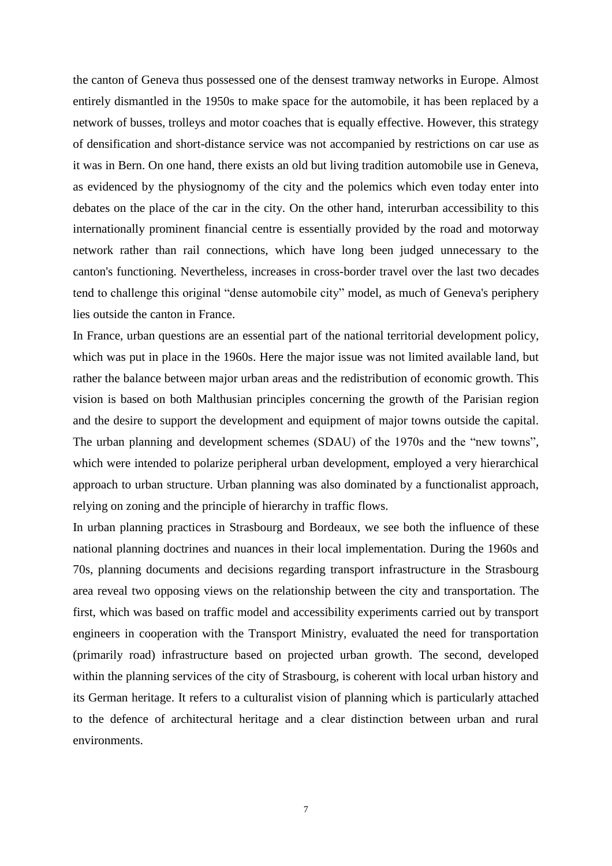the canton of Geneva thus possessed one of the densest tramway networks in Europe. Almost entirely dismantled in the 1950s to make space for the automobile, it has been replaced by a network of busses, trolleys and motor coaches that is equally effective. However, this strategy of densification and short-distance service was not accompanied by restrictions on car use as it was in Bern. On one hand, there exists an old but living tradition automobile use in Geneva, as evidenced by the physiognomy of the city and the polemics which even today enter into debates on the place of the car in the city. On the other hand, interurban accessibility to this internationally prominent financial centre is essentially provided by the road and motorway network rather than rail connections, which have long been judged unnecessary to the canton's functioning. Nevertheless, increases in cross-border travel over the last two decades tend to challenge this original "dense automobile city" model, as much of Geneva's periphery lies outside the canton in France.

In France, urban questions are an essential part of the national territorial development policy, which was put in place in the 1960s. Here the major issue was not limited available land, but rather the balance between major urban areas and the redistribution of economic growth. This vision is based on both Malthusian principles concerning the growth of the Parisian region and the desire to support the development and equipment of major towns outside the capital. The urban planning and development schemes (SDAU) of the 1970s and the "new towns", which were intended to polarize peripheral urban development, employed a very hierarchical approach to urban structure. Urban planning was also dominated by a functionalist approach, relying on zoning and the principle of hierarchy in traffic flows.

In urban planning practices in Strasbourg and Bordeaux, we see both the influence of these national planning doctrines and nuances in their local implementation. During the 1960s and 70s, planning documents and decisions regarding transport infrastructure in the Strasbourg area reveal two opposing views on the relationship between the city and transportation. The first, which was based on traffic model and accessibility experiments carried out by transport engineers in cooperation with the Transport Ministry, evaluated the need for transportation (primarily road) infrastructure based on projected urban growth. The second, developed within the planning services of the city of Strasbourg, is coherent with local urban history and its German heritage. It refers to a culturalist vision of planning which is particularly attached to the defence of architectural heritage and a clear distinction between urban and rural environments.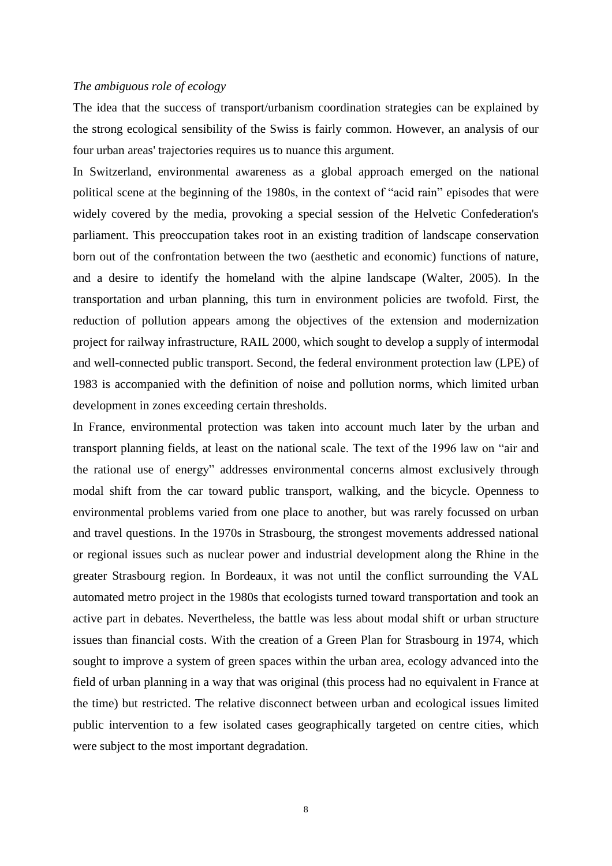#### *The ambiguous role of ecology*

The idea that the success of transport/urbanism coordination strategies can be explained by the strong ecological sensibility of the Swiss is fairly common. However, an analysis of our four urban areas' trajectories requires us to nuance this argument.

In Switzerland, environmental awareness as a global approach emerged on the national political scene at the beginning of the 1980s, in the context of "acid rain" episodes that were widely covered by the media, provoking a special session of the Helvetic Confederation's parliament. This preoccupation takes root in an existing tradition of landscape conservation born out of the confrontation between the two (aesthetic and economic) functions of nature, and a desire to identify the homeland with the alpine landscape (Walter, 2005). In the transportation and urban planning, this turn in environment policies are twofold. First, the reduction of pollution appears among the objectives of the extension and modernization project for railway infrastructure, RAIL 2000, which sought to develop a supply of intermodal and well-connected public transport. Second, the federal environment protection law (LPE) of 1983 is accompanied with the definition of noise and pollution norms, which limited urban development in zones exceeding certain thresholds.

In France, environmental protection was taken into account much later by the urban and transport planning fields, at least on the national scale. The text of the 1996 law on "air and the rational use of energy" addresses environmental concerns almost exclusively through modal shift from the car toward public transport, walking, and the bicycle. Openness to environmental problems varied from one place to another, but was rarely focussed on urban and travel questions. In the 1970s in Strasbourg, the strongest movements addressed national or regional issues such as nuclear power and industrial development along the Rhine in the greater Strasbourg region. In Bordeaux, it was not until the conflict surrounding the VAL automated metro project in the 1980s that ecologists turned toward transportation and took an active part in debates. Nevertheless, the battle was less about modal shift or urban structure issues than financial costs. With the creation of a Green Plan for Strasbourg in 1974, which sought to improve a system of green spaces within the urban area, ecology advanced into the field of urban planning in a way that was original (this process had no equivalent in France at the time) but restricted. The relative disconnect between urban and ecological issues limited public intervention to a few isolated cases geographically targeted on centre cities, which were subject to the most important degradation.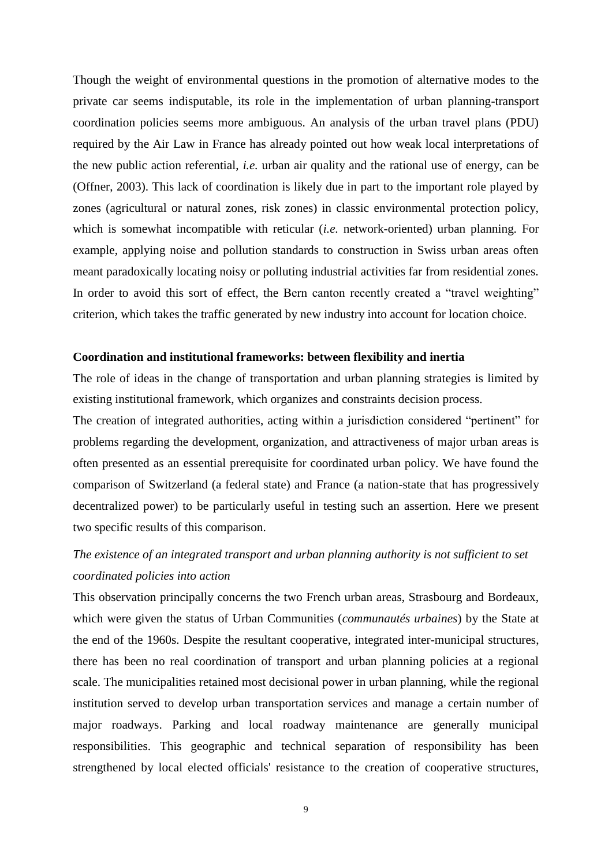Though the weight of environmental questions in the promotion of alternative modes to the private car seems indisputable, its role in the implementation of urban planning-transport coordination policies seems more ambiguous. An analysis of the urban travel plans (PDU) required by the Air Law in France has already pointed out how weak local interpretations of the new public action referential, *i.e.* urban air quality and the rational use of energy, can be (Offner, 2003). This lack of coordination is likely due in part to the important role played by zones (agricultural or natural zones, risk zones) in classic environmental protection policy, which is somewhat incompatible with reticular (*i.e.* network-oriented) urban planning. For example, applying noise and pollution standards to construction in Swiss urban areas often meant paradoxically locating noisy or polluting industrial activities far from residential zones. In order to avoid this sort of effect, the Bern canton recently created a "travel weighting" criterion, which takes the traffic generated by new industry into account for location choice.

#### **Coordination and institutional frameworks: between flexibility and inertia**

The role of ideas in the change of transportation and urban planning strategies is limited by existing institutional framework, which organizes and constraints decision process.

The creation of integrated authorities, acting within a jurisdiction considered "pertinent" for problems regarding the development, organization, and attractiveness of major urban areas is often presented as an essential prerequisite for coordinated urban policy. We have found the comparison of Switzerland (a federal state) and France (a nation-state that has progressively decentralized power) to be particularly useful in testing such an assertion. Here we present two specific results of this comparison.

# *The existence of an integrated transport and urban planning authority is not sufficient to set coordinated policies into action*

This observation principally concerns the two French urban areas, Strasbourg and Bordeaux, which were given the status of Urban Communities (*communautés urbaines*) by the State at the end of the 1960s. Despite the resultant cooperative, integrated inter-municipal structures, there has been no real coordination of transport and urban planning policies at a regional scale. The municipalities retained most decisional power in urban planning, while the regional institution served to develop urban transportation services and manage a certain number of major roadways. Parking and local roadway maintenance are generally municipal responsibilities. This geographic and technical separation of responsibility has been strengthened by local elected officials' resistance to the creation of cooperative structures,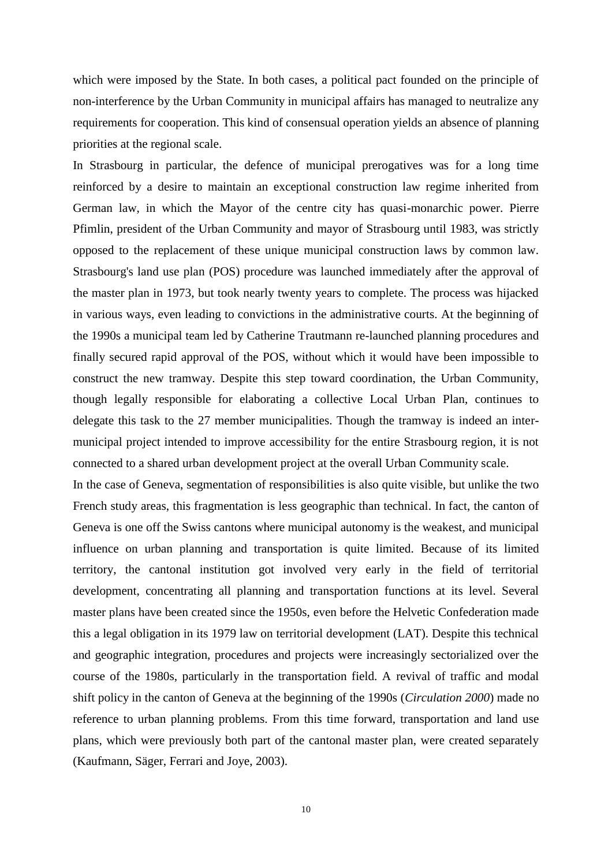which were imposed by the State. In both cases, a political pact founded on the principle of non-interference by the Urban Community in municipal affairs has managed to neutralize any requirements for cooperation. This kind of consensual operation yields an absence of planning priorities at the regional scale.

In Strasbourg in particular, the defence of municipal prerogatives was for a long time reinforced by a desire to maintain an exceptional construction law regime inherited from German law, in which the Mayor of the centre city has quasi-monarchic power. Pierre Pfimlin, president of the Urban Community and mayor of Strasbourg until 1983, was strictly opposed to the replacement of these unique municipal construction laws by common law. Strasbourg's land use plan (POS) procedure was launched immediately after the approval of the master plan in 1973, but took nearly twenty years to complete. The process was hijacked in various ways, even leading to convictions in the administrative courts. At the beginning of the 1990s a municipal team led by Catherine Trautmann re-launched planning procedures and finally secured rapid approval of the POS, without which it would have been impossible to construct the new tramway. Despite this step toward coordination, the Urban Community, though legally responsible for elaborating a collective Local Urban Plan, continues to delegate this task to the 27 member municipalities. Though the tramway is indeed an intermunicipal project intended to improve accessibility for the entire Strasbourg region, it is not connected to a shared urban development project at the overall Urban Community scale.

In the case of Geneva, segmentation of responsibilities is also quite visible, but unlike the two French study areas, this fragmentation is less geographic than technical. In fact, the canton of Geneva is one off the Swiss cantons where municipal autonomy is the weakest, and municipal influence on urban planning and transportation is quite limited. Because of its limited territory, the cantonal institution got involved very early in the field of territorial development, concentrating all planning and transportation functions at its level. Several master plans have been created since the 1950s, even before the Helvetic Confederation made this a legal obligation in its 1979 law on territorial development (LAT). Despite this technical and geographic integration, procedures and projects were increasingly sectorialized over the course of the 1980s, particularly in the transportation field. A revival of traffic and modal shift policy in the canton of Geneva at the beginning of the 1990s (*Circulation 2000*) made no reference to urban planning problems. From this time forward, transportation and land use plans, which were previously both part of the cantonal master plan, were created separately (Kaufmann, Säger, Ferrari and Joye, 2003).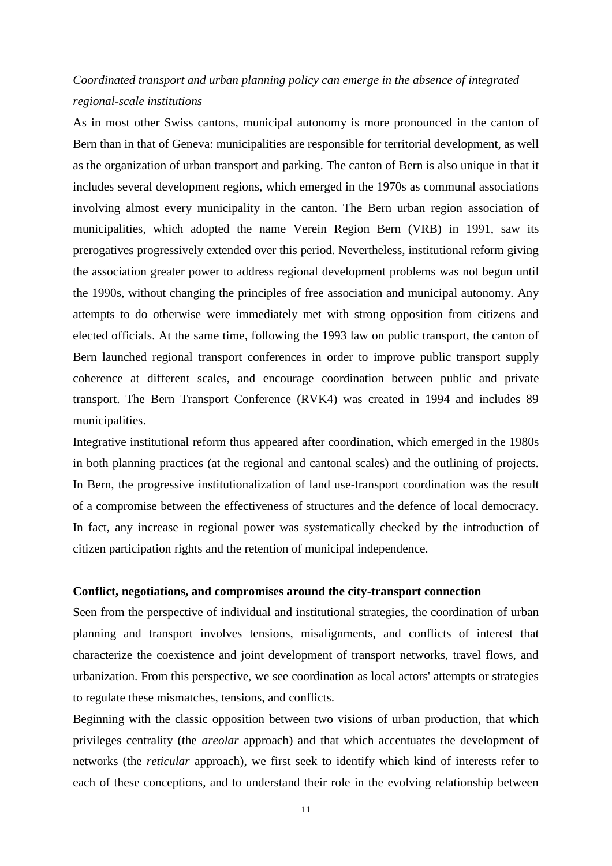## *Coordinated transport and urban planning policy can emerge in the absence of integrated regional-scale institutions*

As in most other Swiss cantons, municipal autonomy is more pronounced in the canton of Bern than in that of Geneva: municipalities are responsible for territorial development, as well as the organization of urban transport and parking. The canton of Bern is also unique in that it includes several development regions, which emerged in the 1970s as communal associations involving almost every municipality in the canton. The Bern urban region association of municipalities, which adopted the name Verein Region Bern (VRB) in 1991, saw its prerogatives progressively extended over this period. Nevertheless, institutional reform giving the association greater power to address regional development problems was not begun until the 1990s, without changing the principles of free association and municipal autonomy. Any attempts to do otherwise were immediately met with strong opposition from citizens and elected officials. At the same time, following the 1993 law on public transport, the canton of Bern launched regional transport conferences in order to improve public transport supply coherence at different scales, and encourage coordination between public and private transport. The Bern Transport Conference (RVK4) was created in 1994 and includes 89 municipalities.

Integrative institutional reform thus appeared after coordination, which emerged in the 1980s in both planning practices (at the regional and cantonal scales) and the outlining of projects. In Bern, the progressive institutionalization of land use-transport coordination was the result of a compromise between the effectiveness of structures and the defence of local democracy. In fact, any increase in regional power was systematically checked by the introduction of citizen participation rights and the retention of municipal independence.

#### **Conflict, negotiations, and compromises around the city-transport connection**

Seen from the perspective of individual and institutional strategies, the coordination of urban planning and transport involves tensions, misalignments, and conflicts of interest that characterize the coexistence and joint development of transport networks, travel flows, and urbanization. From this perspective, we see coordination as local actors' attempts or strategies to regulate these mismatches, tensions, and conflicts.

Beginning with the classic opposition between two visions of urban production, that which privileges centrality (the *areolar* approach) and that which accentuates the development of networks (the *reticular* approach), we first seek to identify which kind of interests refer to each of these conceptions, and to understand their role in the evolving relationship between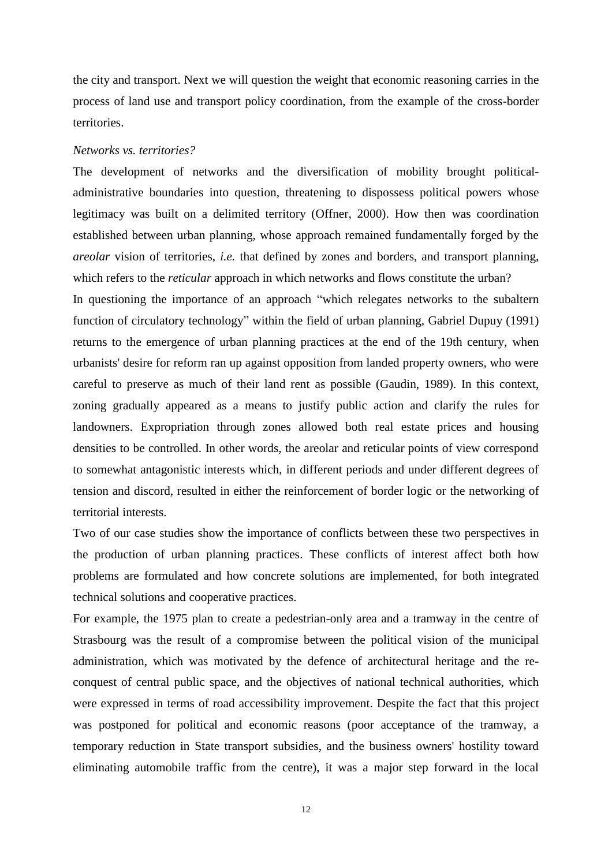the city and transport. Next we will question the weight that economic reasoning carries in the process of land use and transport policy coordination, from the example of the cross-border territories.

#### *Networks vs. territories?*

The development of networks and the diversification of mobility brought politicaladministrative boundaries into question, threatening to dispossess political powers whose legitimacy was built on a delimited territory (Offner, 2000). How then was coordination established between urban planning, whose approach remained fundamentally forged by the *areolar* vision of territories, *i.e.* that defined by zones and borders, and transport planning, which refers to the *reticular* approach in which networks and flows constitute the urban?

In questioning the importance of an approach "which relegates networks to the subaltern function of circulatory technology" within the field of urban planning, Gabriel Dupuy (1991) returns to the emergence of urban planning practices at the end of the 19th century, when urbanists' desire for reform ran up against opposition from landed property owners, who were careful to preserve as much of their land rent as possible (Gaudin, 1989). In this context, zoning gradually appeared as a means to justify public action and clarify the rules for landowners. Expropriation through zones allowed both real estate prices and housing densities to be controlled. In other words, the areolar and reticular points of view correspond to somewhat antagonistic interests which, in different periods and under different degrees of tension and discord, resulted in either the reinforcement of border logic or the networking of territorial interests.

Two of our case studies show the importance of conflicts between these two perspectives in the production of urban planning practices. These conflicts of interest affect both how problems are formulated and how concrete solutions are implemented, for both integrated technical solutions and cooperative practices.

For example, the 1975 plan to create a pedestrian-only area and a tramway in the centre of Strasbourg was the result of a compromise between the political vision of the municipal administration, which was motivated by the defence of architectural heritage and the reconquest of central public space, and the objectives of national technical authorities, which were expressed in terms of road accessibility improvement. Despite the fact that this project was postponed for political and economic reasons (poor acceptance of the tramway, a temporary reduction in State transport subsidies, and the business owners' hostility toward eliminating automobile traffic from the centre), it was a major step forward in the local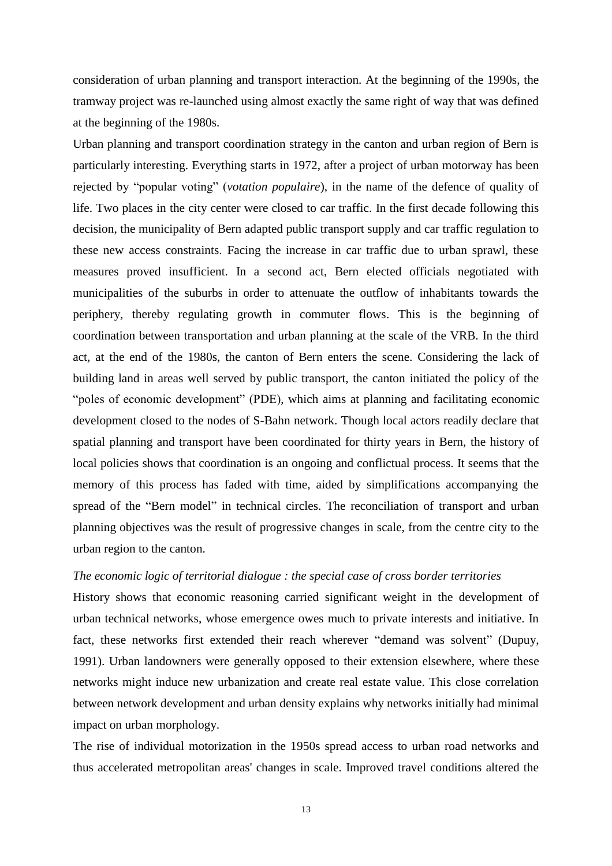consideration of urban planning and transport interaction. At the beginning of the 1990s, the tramway project was re-launched using almost exactly the same right of way that was defined at the beginning of the 1980s.

Urban planning and transport coordination strategy in the canton and urban region of Bern is particularly interesting. Everything starts in 1972, after a project of urban motorway has been rejected by "popular voting" (*votation populaire*), in the name of the defence of quality of life. Two places in the city center were closed to car traffic. In the first decade following this decision, the municipality of Bern adapted public transport supply and car traffic regulation to these new access constraints. Facing the increase in car traffic due to urban sprawl, these measures proved insufficient. In a second act, Bern elected officials negotiated with municipalities of the suburbs in order to attenuate the outflow of inhabitants towards the periphery, thereby regulating growth in commuter flows. This is the beginning of coordination between transportation and urban planning at the scale of the VRB. In the third act, at the end of the 1980s, the canton of Bern enters the scene. Considering the lack of building land in areas well served by public transport, the canton initiated the policy of the "poles of economic development" (PDE), which aims at planning and facilitating economic development closed to the nodes of S-Bahn network. Though local actors readily declare that spatial planning and transport have been coordinated for thirty years in Bern, the history of local policies shows that coordination is an ongoing and conflictual process. It seems that the memory of this process has faded with time, aided by simplifications accompanying the spread of the "Bern model" in technical circles. The reconciliation of transport and urban planning objectives was the result of progressive changes in scale, from the centre city to the urban region to the canton.

#### *The economic logic of territorial dialogue : the special case of cross border territories*

History shows that economic reasoning carried significant weight in the development of urban technical networks, whose emergence owes much to private interests and initiative. In fact, these networks first extended their reach wherever "demand was solvent" (Dupuy, 1991). Urban landowners were generally opposed to their extension elsewhere, where these networks might induce new urbanization and create real estate value. This close correlation between network development and urban density explains why networks initially had minimal impact on urban morphology.

The rise of individual motorization in the 1950s spread access to urban road networks and thus accelerated metropolitan areas' changes in scale. Improved travel conditions altered the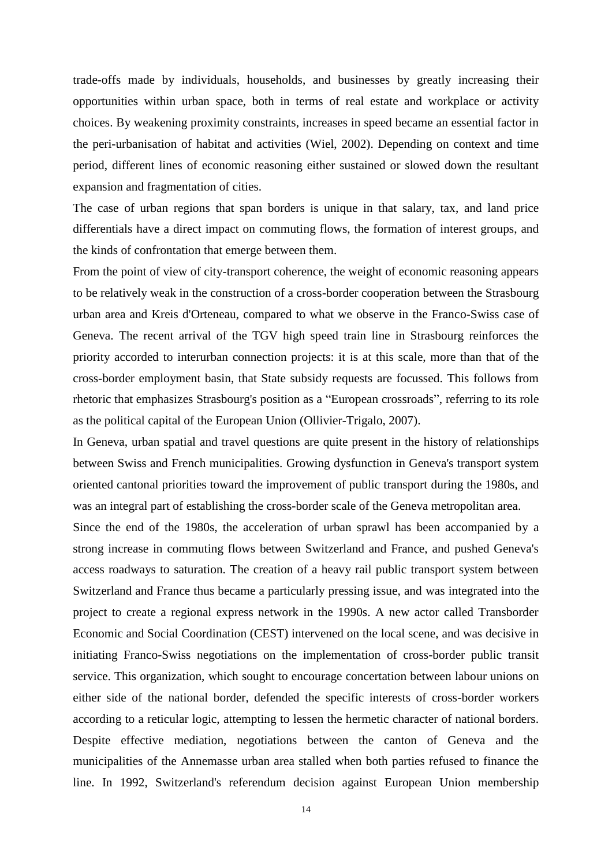trade-offs made by individuals, households, and businesses by greatly increasing their opportunities within urban space, both in terms of real estate and workplace or activity choices. By weakening proximity constraints, increases in speed became an essential factor in the peri-urbanisation of habitat and activities (Wiel, 2002). Depending on context and time period, different lines of economic reasoning either sustained or slowed down the resultant expansion and fragmentation of cities.

The case of urban regions that span borders is unique in that salary, tax, and land price differentials have a direct impact on commuting flows, the formation of interest groups, and the kinds of confrontation that emerge between them.

From the point of view of city-transport coherence, the weight of economic reasoning appears to be relatively weak in the construction of a cross-border cooperation between the Strasbourg urban area and Kreis d'Orteneau, compared to what we observe in the Franco-Swiss case of Geneva. The recent arrival of the TGV high speed train line in Strasbourg reinforces the priority accorded to interurban connection projects: it is at this scale, more than that of the cross-border employment basin, that State subsidy requests are focussed. This follows from rhetoric that emphasizes Strasbourg's position as a "European crossroads", referring to its role as the political capital of the European Union (Ollivier-Trigalo, 2007).

In Geneva, urban spatial and travel questions are quite present in the history of relationships between Swiss and French municipalities. Growing dysfunction in Geneva's transport system oriented cantonal priorities toward the improvement of public transport during the 1980s, and was an integral part of establishing the cross-border scale of the Geneva metropolitan area.

Since the end of the 1980s, the acceleration of urban sprawl has been accompanied by a strong increase in commuting flows between Switzerland and France, and pushed Geneva's access roadways to saturation. The creation of a heavy rail public transport system between Switzerland and France thus became a particularly pressing issue, and was integrated into the project to create a regional express network in the 1990s. A new actor called Transborder Economic and Social Coordination (CEST) intervened on the local scene, and was decisive in initiating Franco-Swiss negotiations on the implementation of cross-border public transit service. This organization, which sought to encourage concertation between labour unions on either side of the national border, defended the specific interests of cross-border workers according to a reticular logic, attempting to lessen the hermetic character of national borders. Despite effective mediation, negotiations between the canton of Geneva and the municipalities of the Annemasse urban area stalled when both parties refused to finance the line. In 1992, Switzerland's referendum decision against European Union membership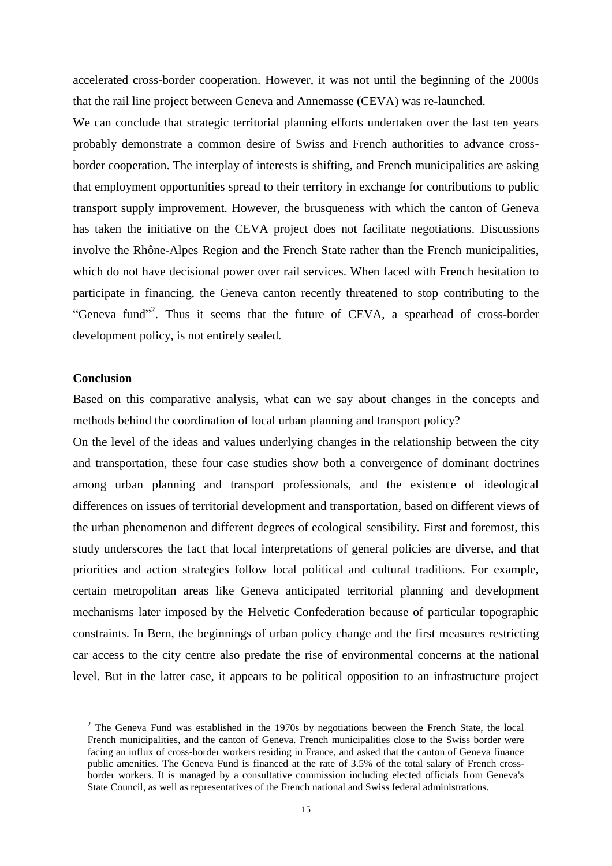accelerated cross-border cooperation. However, it was not until the beginning of the 2000s that the rail line project between Geneva and Annemasse (CEVA) was re-launched.

We can conclude that strategic territorial planning efforts undertaken over the last ten years probably demonstrate a common desire of Swiss and French authorities to advance crossborder cooperation. The interplay of interests is shifting, and French municipalities are asking that employment opportunities spread to their territory in exchange for contributions to public transport supply improvement. However, the brusqueness with which the canton of Geneva has taken the initiative on the CEVA project does not facilitate negotiations. Discussions involve the Rhône-Alpes Region and the French State rather than the French municipalities, which do not have decisional power over rail services. When faced with French hesitation to participate in financing, the Geneva canton recently threatened to stop contributing to the "Geneva fund"<sup>2</sup>. Thus it seems that the future of CEVA, a spearhead of cross-border development policy, is not entirely sealed.

#### **Conclusion**

 $\overline{a}$ 

Based on this comparative analysis, what can we say about changes in the concepts and methods behind the coordination of local urban planning and transport policy?

On the level of the ideas and values underlying changes in the relationship between the city and transportation, these four case studies show both a convergence of dominant doctrines among urban planning and transport professionals, and the existence of ideological differences on issues of territorial development and transportation, based on different views of the urban phenomenon and different degrees of ecological sensibility. First and foremost, this study underscores the fact that local interpretations of general policies are diverse, and that priorities and action strategies follow local political and cultural traditions. For example, certain metropolitan areas like Geneva anticipated territorial planning and development mechanisms later imposed by the Helvetic Confederation because of particular topographic constraints. In Bern, the beginnings of urban policy change and the first measures restricting car access to the city centre also predate the rise of environmental concerns at the national level. But in the latter case, it appears to be political opposition to an infrastructure project

<sup>&</sup>lt;sup>2</sup> The Geneva Fund was established in the 1970s by negotiations between the French State, the local French municipalities, and the canton of Geneva. French municipalities close to the Swiss border were facing an influx of cross-border workers residing in France, and asked that the canton of Geneva finance public amenities. The Geneva Fund is financed at the rate of 3.5% of the total salary of French crossborder workers. It is managed by a consultative commission including elected officials from Geneva's State Council, as well as representatives of the French national and Swiss federal administrations.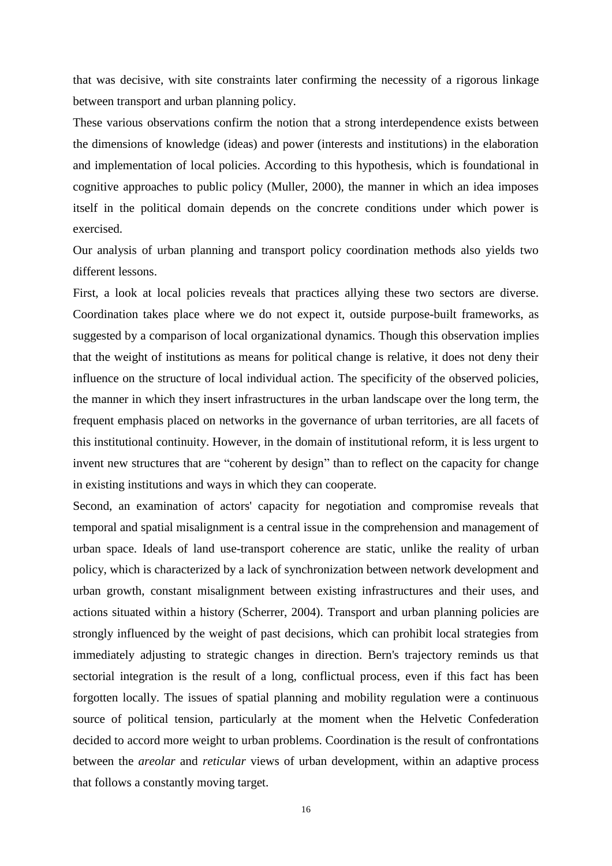that was decisive, with site constraints later confirming the necessity of a rigorous linkage between transport and urban planning policy.

These various observations confirm the notion that a strong interdependence exists between the dimensions of knowledge (ideas) and power (interests and institutions) in the elaboration and implementation of local policies. According to this hypothesis, which is foundational in cognitive approaches to public policy (Muller, 2000), the manner in which an idea imposes itself in the political domain depends on the concrete conditions under which power is exercised.

Our analysis of urban planning and transport policy coordination methods also yields two different lessons.

First, a look at local policies reveals that practices allying these two sectors are diverse. Coordination takes place where we do not expect it, outside purpose-built frameworks, as suggested by a comparison of local organizational dynamics. Though this observation implies that the weight of institutions as means for political change is relative, it does not deny their influence on the structure of local individual action. The specificity of the observed policies, the manner in which they insert infrastructures in the urban landscape over the long term, the frequent emphasis placed on networks in the governance of urban territories, are all facets of this institutional continuity. However, in the domain of institutional reform, it is less urgent to invent new structures that are "coherent by design" than to reflect on the capacity for change in existing institutions and ways in which they can cooperate.

Second, an examination of actors' capacity for negotiation and compromise reveals that temporal and spatial misalignment is a central issue in the comprehension and management of urban space. Ideals of land use-transport coherence are static, unlike the reality of urban policy, which is characterized by a lack of synchronization between network development and urban growth, constant misalignment between existing infrastructures and their uses, and actions situated within a history (Scherrer, 2004). Transport and urban planning policies are strongly influenced by the weight of past decisions, which can prohibit local strategies from immediately adjusting to strategic changes in direction. Bern's trajectory reminds us that sectorial integration is the result of a long, conflictual process, even if this fact has been forgotten locally. The issues of spatial planning and mobility regulation were a continuous source of political tension, particularly at the moment when the Helvetic Confederation decided to accord more weight to urban problems. Coordination is the result of confrontations between the *areolar* and *reticular* views of urban development, within an adaptive process that follows a constantly moving target.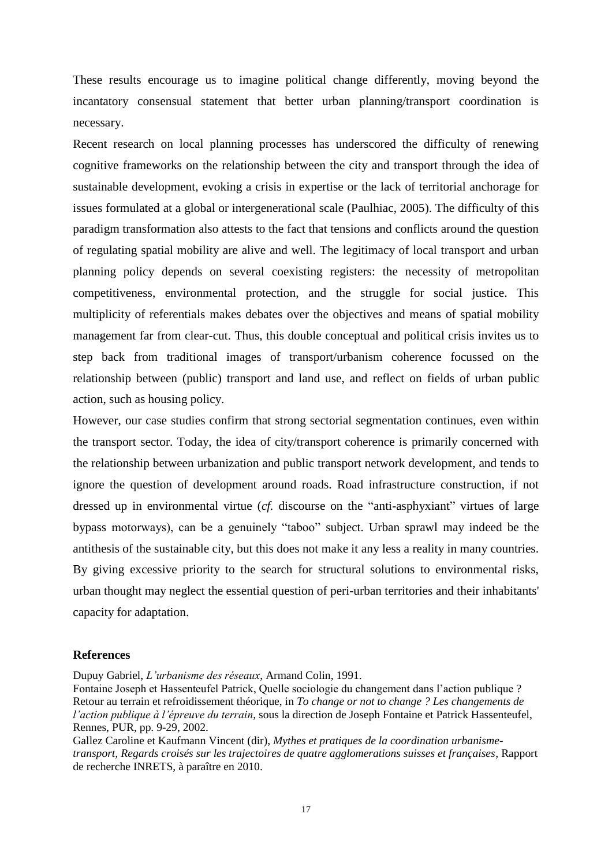These results encourage us to imagine political change differently, moving beyond the incantatory consensual statement that better urban planning/transport coordination is necessary.

Recent research on local planning processes has underscored the difficulty of renewing cognitive frameworks on the relationship between the city and transport through the idea of sustainable development, evoking a crisis in expertise or the lack of territorial anchorage for issues formulated at a global or intergenerational scale (Paulhiac, 2005). The difficulty of this paradigm transformation also attests to the fact that tensions and conflicts around the question of regulating spatial mobility are alive and well. The legitimacy of local transport and urban planning policy depends on several coexisting registers: the necessity of metropolitan competitiveness, environmental protection, and the struggle for social justice. This multiplicity of referentials makes debates over the objectives and means of spatial mobility management far from clear-cut. Thus, this double conceptual and political crisis invites us to step back from traditional images of transport/urbanism coherence focussed on the relationship between (public) transport and land use, and reflect on fields of urban public action, such as housing policy.

However, our case studies confirm that strong sectorial segmentation continues, even within the transport sector. Today, the idea of city/transport coherence is primarily concerned with the relationship between urbanization and public transport network development, and tends to ignore the question of development around roads. Road infrastructure construction, if not dressed up in environmental virtue (*cf.* discourse on the "anti-asphyxiant" virtues of large bypass motorways), can be a genuinely "taboo" subject. Urban sprawl may indeed be the antithesis of the sustainable city, but this does not make it any less a reality in many countries. By giving excessive priority to the search for structural solutions to environmental risks, urban thought may neglect the essential question of peri-urban territories and their inhabitants' capacity for adaptation.

#### **References**

Dupuy Gabriel, *L'urbanisme des réseaux*, Armand Colin, 1991.

Fontaine Joseph et Hassenteufel Patrick, Quelle sociologie du changement dans l"action publique ? Retour au terrain et refroidissement théorique, in *To change or not to change ? Les changements de l'action publique à l'épreuve du terrain*, sous la direction de Joseph Fontaine et Patrick Hassenteufel, Rennes, PUR, pp. 9-29, 2002.

Gallez Caroline et Kaufmann Vincent (dir), *Mythes et pratiques de la coordination urbanismetransport, Regards croisés sur les trajectoires de quatre agglomerations suisses et françaises*, Rapport de recherche INRETS, à paraître en 2010.